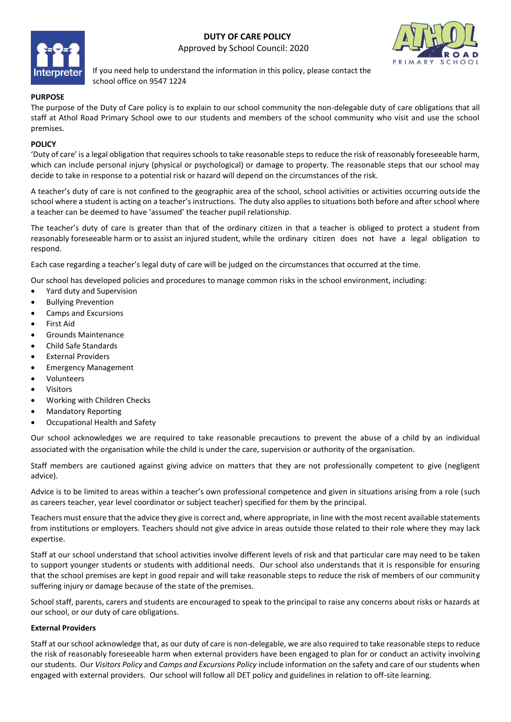# **DUTY OF CARE POLICY** Approved by School Council: 2020





If you need help to understand the information in this policy, please contact the school office on 9547 1224

## **PURPOSE**

The purpose of the Duty of Care policy is to explain to our school community the non-delegable duty of care obligations that all staff at Athol Road Primary School owe to our students and members of the school community who visit and use the school premises.

## **POLICY**

'Duty of care' is a legal obligation that requires schools to take reasonable steps to reduce the risk of reasonably foreseeable harm, which can include personal injury (physical or psychological) or damage to property. The reasonable steps that our school may decide to take in response to a potential risk or hazard will depend on the circumstances of the risk.

A teacher's duty of care is not confined to the geographic area of the school, school activities or activities occurring outside the school where a student is acting on a teacher's instructions. The duty also applies to situations both before and after school where a teacher can be deemed to have 'assumed' the teacher pupil relationship.

The teacher's duty of care is greater than that of the ordinary citizen in that a teacher is obliged to protect a student from reasonably foreseeable harm or to assist an injured student, while the ordinary citizen does not have a legal obligation to respond.

Each case regarding a teacher's legal duty of care will be judged on the circumstances that occurred at the time.

Our school has developed policies and procedures to manage common risks in the school environment, including:

- Yard duty and Supervision
- Bullying Prevention
- Camps and Excursions
- First Aid
- Grounds Maintenance
- Child Safe Standards
- External Providers
- Emergency Management
- Volunteers
- **Visitors**
- Working with Children Checks
- Mandatory Reporting
- Occupational Health and Safety

Our school acknowledges we are required to take reasonable precautions to prevent the abuse of a child by an individual associated with the organisation while the child is under the care, supervision or authority of the organisation.

Staff members are cautioned against giving advice on matters that they are not professionally competent to give (negligent advice).

Advice is to be limited to areas within a teacher's own professional competence and given in situations arising from a role (such as careers teacher, year level coordinator or subject teacher) specified for them by the principal.

Teachers must ensure that the advice they give is correct and, where appropriate, in line with the most recent available statements from institutions or employers. Teachers should not give advice in areas outside those related to their role where they may lack expertise.

Staff at our school understand that school activities involve different levels of risk and that particular care may need to be taken to support younger students or students with additional needs. Our school also understands that it is responsible for ensuring that the school premises are kept in good repair and will take reasonable steps to reduce the risk of members of our community suffering injury or damage because of the state of the premises.

School staff, parents, carers and students are encouraged to speak to the principal to raise any concerns about risks or hazards at our school, or our duty of care obligations.

### **External Providers**

Staff at our school acknowledge that, as our duty of care is non-delegable, we are also required to take reasonable steps to reduce the risk of reasonably foreseeable harm when external providers have been engaged to plan for or conduct an activity involving our students. Our *Visitors Policy* and *Camps and Excursions Policy* include information on the safety and care of our students when engaged with external providers. Our school will follow all DET policy and guidelines in relation to off-site learning.